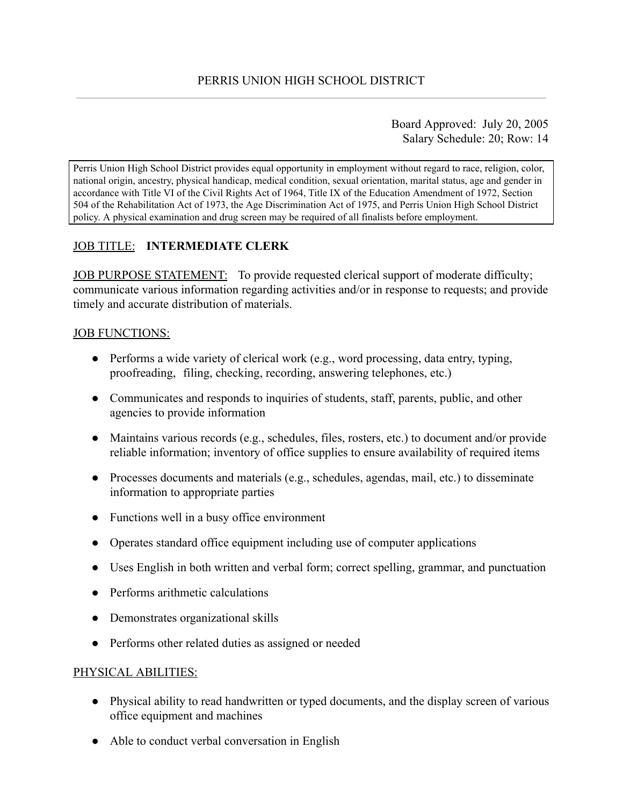Board Approved: July 20, 2005 Salary Schedule: 20; Row: 14

Perris Union High School District provides equal opportunity in employment without regard to race, religion, color, national origin, ancestry, physical handicap, medical condition, sexual orientation, marital status, age and gender in accordance with Title VI of the Civil Rights Act of 1964, Title IX of the Education Amendment of 1972, Section 504 of the Rehabilitation Act of 1973, the Age Discrimination Act of 1975, and Perris Union High School District policy. A physical examination and drug screen may be required of all finalists before employment.

# JOB TITLE: **INTERMEDIATE CLERK**

JOB PURPOSE STATEMENT: To provide requested clerical support of moderate difficulty; communicate various information regarding activities and/or in response to requests; and provide timely and accurate distribution of materials.

## JOB FUNCTIONS:

- $\bullet$  Performs a wide variety of clerical work (e.g., word processing, data entry, typing, proofreading, filing, checking, recording, answering telephones, etc.)
- Communicates and responds to inquiries of students, staff, parents, public, and other agencies to provide information
- Maintains various records (e.g., schedules, files, rosters, etc.) to document and/or provide reliable information; inventory of office supplies to ensure availability of required items
- Processes documents and materials (e.g., schedules, agendas, mail, etc.) to disseminate information to appropriate parties
- Functions well in a busy office environment
- Operates standard office equipment including use of computer applications
- Uses English in both written and verbal form; correct spelling, grammar, and punctuation
- Performs arithmetic calculations
- Demonstrates organizational skills
- Performs other related duties as assigned or needed

# PHYSICAL ABILITIES:

- Physical ability to read handwritten or typed documents, and the display screen of various office equipment and machines
- Able to conduct verbal conversation in English